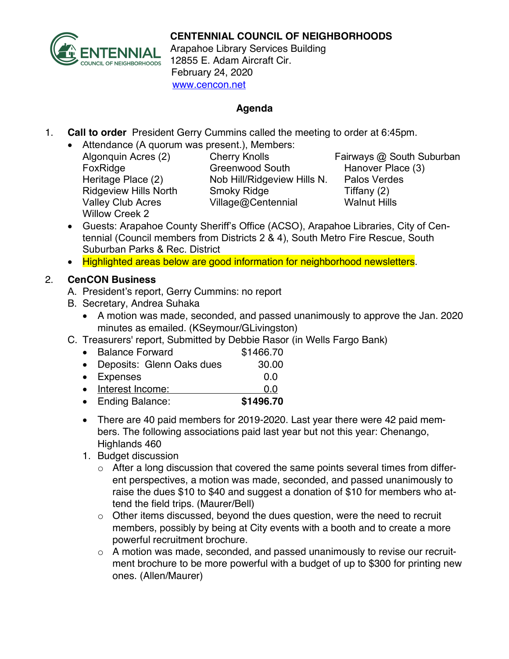

## **CENTENNIAL COUNCIL OF NEIGHBORHOODS**

Arapahoe Library Services Building 12855 E. Adam Aircraft Cir. February 24, 2020 www.cencon.net

### **Agenda**

- 1. **Call to order** President Gerry Cummins called the meeting to order at 6:45pm.
	- Attendance (A quorum was present.), Members:

Willow Creek 2

FoxRidge Greenwood South Hanover Place (3) Heritage Place (2) Nob Hill/Ridgeview Hills N. Palos Verdes Ridgeview Hills North Smoky Ridge Tiffany (2) Valley Club Acres Village@Centennial Walnut Hills

Algonquin Acres (2) Cherry Knolls Fairways @ South Suburban

- Guests: Arapahoe County Sheriff's Office (ACSO), Arapahoe Libraries, City of Centennial (Council members from Districts 2 & 4), South Metro Fire Rescue, South Suburban Parks & Rec. District
- Highlighted areas below are good information for neighborhood newsletters.

# 2. **CenCON Business**

- A. President's report, Gerry Cummins: no report
- B. Secretary, Andrea Suhaka
	- A motion was made, seconded, and passed unanimously to approve the Jan. 2020 minutes as emailed. (KSeymour/GLivingston)
- C. Treasurers' report, Submitted by Debbie Rasor (in Wells Fargo Bank)
	- Balance Forward \$1466.70
	- Deposits: Glenn Oaks dues 30.00
	- Expenses 0.0
	- Interest Income: 0.0
	- Ending Balance: **\$1496.70**
	- There are 40 paid members for 2019-2020. Last year there were 42 paid members. The following associations paid last year but not this year: Chenango, Highlands 460
	- 1. Budget discussion
		- $\circ$  After a long discussion that covered the same points several times from different perspectives, a motion was made, seconded, and passed unanimously to raise the dues \$10 to \$40 and suggest a donation of \$10 for members who attend the field trips. (Maurer/Bell)
		- o Other items discussed, beyond the dues question, were the need to recruit members, possibly by being at City events with a booth and to create a more powerful recruitment brochure.
		- o A motion was made, seconded, and passed unanimously to revise our recruitment brochure to be more powerful with a budget of up to \$300 for printing new ones. (Allen/Maurer)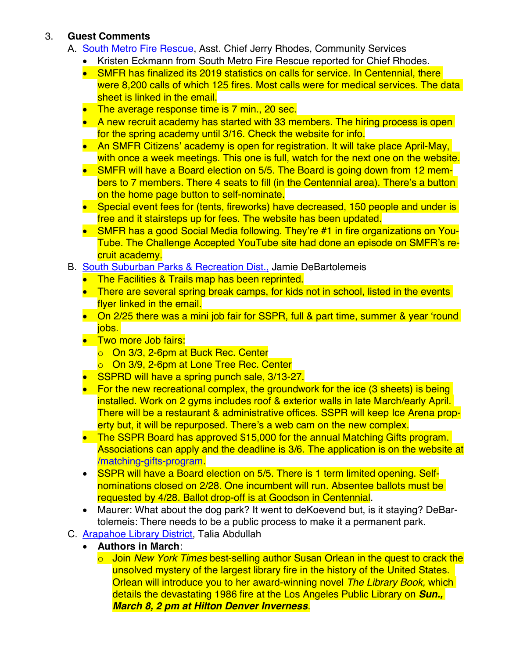## 3. **Guest Comments**

- A. **[South Metro Fire Rescue,](http://www.southmetro.org/) Asst. Chief Jerry Rhodes, Community Services** 
	- Kristen Eckmann from South Metro Fire Rescue reported for Chief Rhodes.
	- SMFR has finalized its 2019 statistics on calls for service. In Centennial, there were 8,200 calls of which 125 fires. Most calls were for medical services. The data sheet is linked in the email.
	- The average response time is 7 min., 20 sec.
	- A new recruit academy has started with 33 members. The hiring process is open for the spring academy until 3/16. Check the website for info.
	- An SMFR Citizens' academy is open for registration. It will take place April-May, with once a week meetings. This one is full, watch for the next one on the website.
	- SMFR will have a Board election on 5/5. The Board is going down from 12 members to 7 members. There 4 seats to fill (in the Centennial area). There's a button on the home page button to self-nominate.
	- Special event fees for (tents, fireworks) have decreased, 150 people and under is free and it stairsteps up for fees. The website has been updated.
	- SMFR has a good Social Media following. They're #1 in fire organizations on You-Tube. The Challenge Accepted YouTube site had done an episode on SMFR's recruit academy.
- B. [South Suburban Parks & Recreation Dist.](http://www.ssprd.org/), Jamie DeBartolemeis
	- The Facilities & Trails map has been reprinted.
	- There are several spring break camps, for kids not in school, listed in the events flyer linked in the email.
	- On 2/25 there was a mini job fair for SSPR, full & part time, summer & year 'round iobs.
	- Two more Job fairs:
		- o On 3/3, 2-6pm at Buck Rec. Center
		- o On 3/9, 2-6pm at Lone Tree Rec. Center
	- SSPRD will have a spring punch sale, 3/13-27.
	- For the new recreational complex, the groundwork for the ice (3 sheets) is being installed. Work on 2 gyms includes roof & exterior walls in late March/early April. There will be a restaurant & administrative offices. SSPR will keep Ice Arena property but, it will be repurposed. There's a web cam on the new complex.
	- The SSPR Board has approved \$15,000 for the annual Matching Gifts program. Associations can apply and the deadline is 3/6. The application is on the website at [/matching-gifts-program](http://www.ssprd.org/matching-gifts-program).
	- SSPR will have a Board election on 5/5. There is 1 term limited opening. Selfnominations closed on 2/28. One incumbent will run. Absentee ballots must be requested by 4/28. Ballot drop-off is at Goodson in Centennial.
	- Maurer: What about the dog park? It went to deKoevend but, is it staying? DeBartolemeis: There needs to be a public process to make it a permanent park.
- C. [Arapahoe Library District,](http://www.arapahoelibraries.org/) Talia Abdullah
	- **Authors in March**:
		- o Join *New York Times* best-selling author Susan Orlean in the quest to crack the unsolved mystery of the largest library fire in the history of the United States. Orlean will introduce you to her award-winning novel *The Library Book,* which details the devastating 1986 fire at the Los Angeles Public Library on *Sun., March 8, 2 pm at Hilton Denver Inverness*.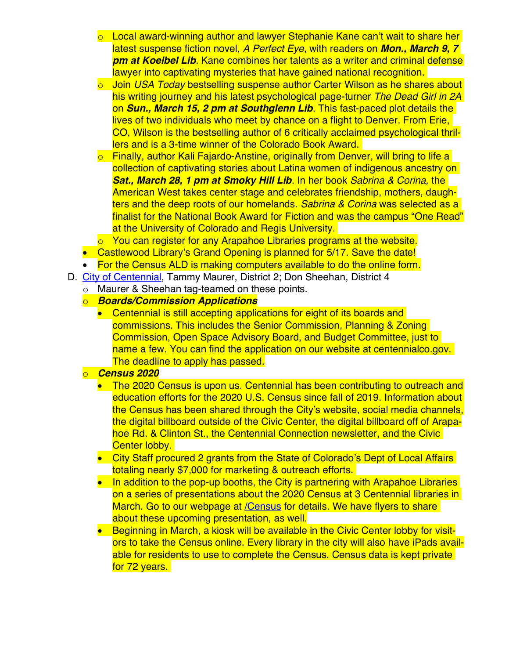- o Local award-winning author and lawyer Stephanie Kane can't wait to share her latest suspense fiction novel, *A Perfect Eye*, with readers on *Mon., March 9, 7 pm at Koelbel Lib*. Kane combines her talents as a writer and criminal defense lawyer into captivating mysteries that have gained national recognition.
- o Join *USA Today* bestselling suspense author Carter Wilson as he shares about his writing journey and his latest psychological page-turner *The Dead Girl in 2A* on *Sun., March 15, 2 pm at Southglenn Lib*. This fast-paced plot details the lives of two individuals who meet by chance on a flight to Denver. From Erie, CO, Wilson is the bestselling author of 6 critically acclaimed psychological thrillers and is a 3-time winner of the Colorado Book Award.
- o Finally, author Kali Fajardo-Anstine, originally from Denver, will bring to life a collection of captivating stories about Latina women of indigenous ancestry on *Sat., March 28, 1 pm at Smoky Hill Lib.* In her book *Sabrina & Corina,* the American West takes center stage and celebrates friendship, mothers, daughters and the deep roots of our homelands. *Sabrina & Corina* was selected as a finalist for the National Book Award for Fiction and was the campus "One Read" at the University of Colorado and Regis University.
- o You can register for any Arapahoe Libraries programs at the website.
- Castlewood Library's Grand Opening is planned for 5/17. Save the date!
- For the Census ALD is making computers available to do the online form.
- D. [City of Centennial,](http://www.centennialco.gov/) Tammy Maurer, District 2; Don Sheehan, District 4
	- o Maurer & Sheehan tag-teamed on these points.
	- o *Boards/Commission Applications*
		- Centennial is still accepting applications for eight of its boards and commissions. This includes the Senior Commission, Planning & Zoning Commission, Open Space Advisory Board, and Budget Committee, just to name a few. You can find the application on our website at centennialco.gov. The deadline to apply has passed.

#### o *Census 2020*

- The 2020 Census is upon us. Centennial has been contributing to outreach and education efforts for the 2020 U.S. Census since fall of 2019. Information about the Census has been shared through the City's website, social media channels, the digital billboard outside of the Civic Center, the digital billboard off of Arapahoe Rd. & Clinton St., the Centennial Connection newsletter, and the Civic Center lobby.
- City Staff procured 2 grants from the State of Colorado's Dept of Local Affairs totaling nearly \$7,000 for marketing & outreach efforts.
- In addition to the pop-up booths, the City is partnering with Arapahoe Libraries on a series of presentations about the 2020 Census at 3 Centennial libraries in March. Go to our webpage at [/Census](http://www.centennialco.gov/Census) for details. We have flyers to share about these upcoming presentation, as well.
- Beginning in March, a kiosk will be available in the Civic Center lobby for visitors to take the Census online. Every library in the city will also have iPads available for residents to use to complete the Census. Census data is kept private for 72 years.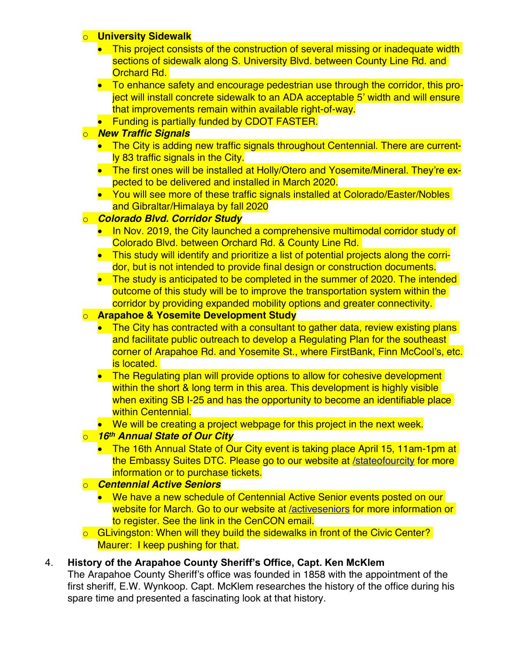#### **University Sidewalk**

- This project consists of the construction of several missing or inadequate width sections of sidewalk along S. University Blvd. between County Line Rd. and Orchard Rd.
- To enhance safety and encourage pedestrian use through the corridor, this project will install concrete sidewalk to an ADA acceptable 5' width and will ensure that improvements remain within available right-of-way.
- Funding is partially funded by CDOT FASTER.

# o *New Traffic Signals*

- The City is adding new traffic signals throughout Centennial. There are currently 83 traffic signals in the City.
- The first ones will be installed at Holly/Otero and Yosemite/Mineral. They're expected to be delivered and installed in March 2020.
- You will see more of these traffic signals installed at Colorado/Easter/Nobles and Gibraltar/Himalaya by fall 2020

## o *Colorado Blvd. Corridor Study*

- In Nov. 2019, the City launched a comprehensive multimodal corridor study of Colorado Blvd. between Orchard Rd. & County Line Rd.
- This study will identify and prioritize a list of potential projects along the corridor, but is not intended to provide final design or construction documents.
- The study is anticipated to be completed in the summer of 2020. The intended outcome of this study will be to improve the transportation system within the corridor by providing expanded mobility options and greater connectivity.

## o **Arapahoe & Yosemite Development Study**

- The City has contracted with a consultant to gather data, review existing plans and facilitate public outreach to develop a Regulating Plan for the southeast corner of Arapahoe Rd. and Yosemite St., where FirstBank, Finn McCool's, etc. is located.
- The Regulating plan will provide options to allow for cohesive development within the short & long term in this area. This development is highly visible when exiting SB I-25 and has the opportunity to become an identifiable place within Centennial.
- We will be creating a project webpage for this project in the next week.

# o *16th Annual State of Our City*

• The 16th Annual State of Our City event is taking place April 15, 11am-1pm at the Embassy Suites DTC. Please go to our website at [/stateofourcity](http://www.centennialco.gov/stateofourcity) for more information or to purchase tickets.

#### o *Centennial Active Seniors*

- We have a new schedule of Centennial Active Senior events posted on our website for March. Go to our website at [/activeseniors](http://www.centennialco.gov/activeseniors) for more information or to register. See the link in the CenCON email.
- o GLivingston: When will they build the sidewalks in front of the Civic Center? Maurer: I keep pushing for that.

# 4. **History of the Arapahoe County Sheriff's Office, Capt. Ken McKlem**

The Arapahoe County Sheriff's office was founded in 1858 with the appointment of the first sheriff, E.W. Wynkoop. Capt. McKlem researches the history of the office during his spare time and presented a fascinating look at that history.